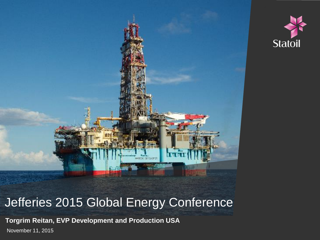



### Jefferies 2015 Global Energy Conference

**Torgrim Reitan, EVP Development and Production USA** November 11, 2015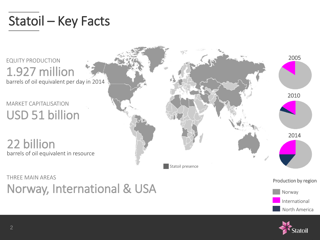# Statoil – Key Facts



Norway, International & USA

International

North America

Norway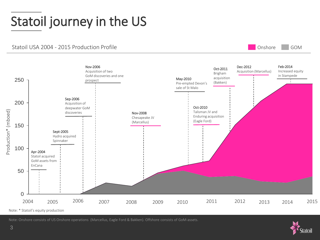# Statoil journey in the US

Statoil USA 2004 - 2015 Production Profile

Onshore GOM



Note: Onshore consists of US Onshore operations (Marcellus, Eagle Ford & Bakken). Offshore consists of GoM-assets.

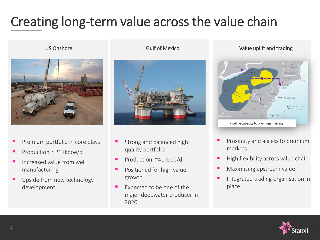### $\overline{a}$ Creating long-term value across the value chain



- Premium portfolio in core plays
- Production ~ 217kboe/d
- Increased value from well manufacturing
- Upside from new technology development



- Strong and balanced high quality portfolio
- Production ~41kboe/d
- **Positioned for high value** growth
- Expected to be one of the major deepwater producer in 2020.

US Onshore **CONSOLUTE:** Gulf of Mexico Value uplift and trading



- Proximity and access to premium markets
- High flexibility across value chain
- Maximising upstream value
- Integrated trading organisation in place

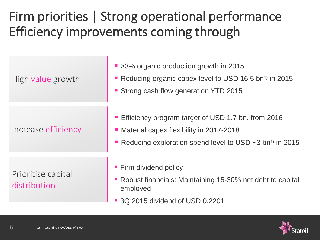## Firm priorities | Strong operational performance Efficiency improvements coming through

| High value growth                  | ■ >3% organic production growth in 2015<br>Reducing organic capex level to USD 16.5 bn <sup>1)</sup> in 2015<br>• Strong cash flow generation YTD 2015                       |
|------------------------------------|------------------------------------------------------------------------------------------------------------------------------------------------------------------------------|
| Increase efficiency                | Efficiency program target of USD 1.7 bn. from 2016<br>• Material capex flexibility in 2017-2018<br>Reducing exploration spend level to USD $\sim$ 3 bn <sup>1)</sup> in 2015 |
| Prioritise capital<br>distribution | • Firm dividend policy<br>• Robust financials: Maintaining 15-30% net debt to capital<br>employed<br>■ 3Q 2015 dividend of USD 0.2201                                        |

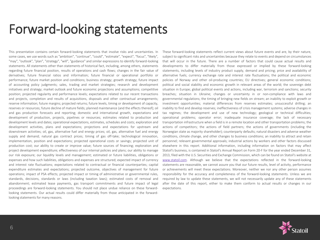### Forward-looking statements

This presentation contains certain forward-looking statements that involve risks and uncertainties. In some cases, we use words such as "ambition", "continue", "could", "estimate", "expect", "focus", "likely", "may", "outlook", "plan", "strategy", "will", "guidance" and similar expressions to identify forward-looking statements. All statements other than statements of historical fact, including, among others, statements regarding future financial position, results of operations and cash flows; changes in the fair value of derivatives; future financial ratios and information; future financial or operational portfolio or performance; future market position and conditions; business strategy; growth strategy; future impact of accounting policy judgments; sales, trading and market strategies; research and development initiatives and strategy; market outlook and future economic projections and assumptions; competitive position; projected regularity and performance levels; expectations related to our recent transactions and projects, completion and results of acquisitions, disposals and other contractual arrangements; reserve information; future margins; projected returns; future levels, timing or development of capacity, reserves or resources; future decline of mature fields; planned maintenance (and the effects thereof); oil and gas production forecasts and reporting; domestic and international growth, expectations and development of production, projects, pipelines or resources; estimates related to production and development levels and dates; operational expectations, estimates, schedules and costs; exploration and development activities, plans and expectations; projections and expectations for upstream and downstream activities; oil, gas, alternative fuel and energy prices; oil, gas, alternative fuel and energy supply and demand; natural gas contract prices; timing of gas off-take; technological innovation, implementation, position and expectations; projected operational costs or savings; projected unit of production cost; our ability to create or improve value; future sources of financing; exploration and project development expenditure; effectiveness of our internal policies and plans; our ability to manage our risk exposure; our liquidity levels and management; estimated or future liabilities, obligations or expenses and how such liabilities, obligations and expenses are structured; expected impact of currency and interest rate fluctuations; expectations related to contractual or financial counterparties; capital expenditure estimates and expectations; projected outcome, objectives of management for future operations; impact of PSA effects; projected impact or timing of administrative or governmental rules, standards, decisions, standards or laws (including taxation laws); estimated costs of removal and abandonment; estimated lease payments, gas transport commitments and future impact of legal proceedings are forward-looking statements. You should not place undue reliance on these forwardlooking statements. Our actual results could differ materially from those anticipated in the forwardlooking statements for many reasons.

These forward-looking statements reflect current views about future events and are, by their nature, subject to significant risks and uncertainties because they relate to events and depend on circumstances that will occur in the future. There are a number of factors that could cause actual results and developments to differ materially from those expressed or implied by these forward-looking statements, including levels of industry product supply, demand and pricing; price and availability of alternative fuels; currency exchange rate and interest rate fluctuations; the political and economic policies of Norway and other oil-producing countries; EU directives; general economic conditions; political and social stability and economic growth in relevant areas of the world; the sovereign debt situation in Europe; global political events and actions, including war, terrorism and sanctions; security breaches; situation in Ukraine; changes or uncertainty in or non-compliance with laws and governmental regulations; the timing of bringing new fields on stream; an inability to exploit growth or investment opportunities; material differences from reserves estimates; unsuccessful drilling; an inability to find and develop reserves; ineffectiveness of crisis management systems; adverse changes in tax regimes; the development and use of new technology; geological or technical difficulties; operational problems; operator error; inadequate insurance coverage; the lack of necessary transportation infrastructure when a field is in a remote location and other transportation problems; the actions of competitors; the actions of field partners; the actions of governments (including the Norwegian state as majority shareholder); counterparty defaults; natural disasters and adverse weather conditions, climate change, and other changes to business conditions; an inability to attract and retain personnel; relevant governmental approvals; industrial actions by workers and other factors discussed elsewhere in this report. Additional information, including information on factors that may affect Statoil's business, is contained in Statoil's Annual Report on Form 20-F for the year ended December 31, 2013, filed with the U.S. Securities and Exchange Commission, which can be found on Statoil's website at [www.statoil.com](http://www.statoil.com/). Although we believe that the expectations reflected in the forward-looking statements are reasonable, we cannot assure you that our future results, level of activity, performance or achievements will meet these expectations. Moreover, neither we nor any other person assumes responsibility for the accuracy and completeness of the forward-looking statements. Unless we are required by law to update these statements, we will not necessarily update any of these statements after the date of this report, either to make them conform to actual results or changes in our expectations.